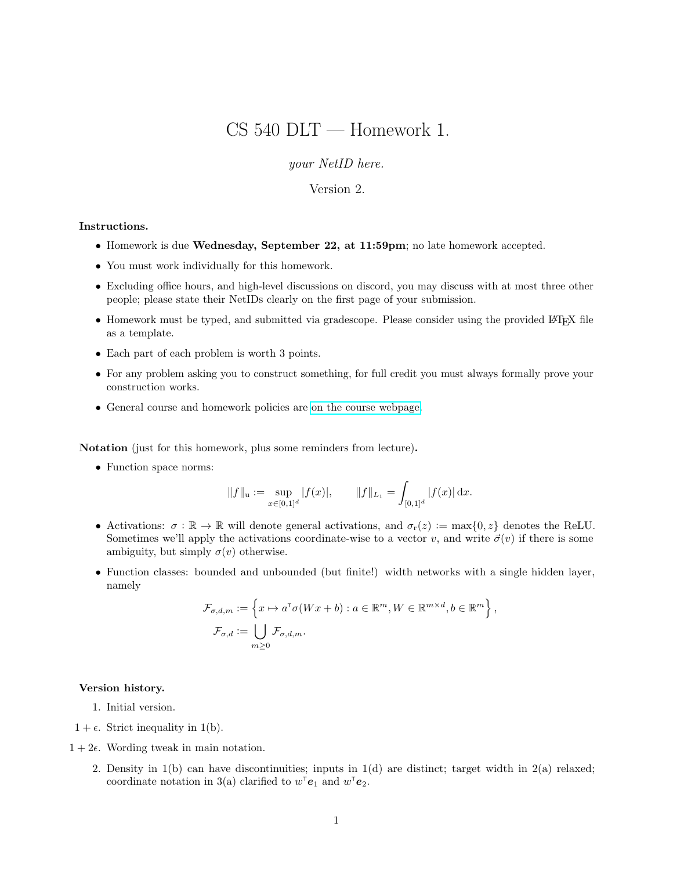# CS 540 DLT — Homework 1.

your NetID here.

### Version 2.

#### Instructions.

- Homework is due Wednesday, September 22, at 11:59pm; no late homework accepted.
- You must work individually for this homework.
- Excluding office hours, and high-level discussions on discord, you may discuss with at most three other people; please state their NetIDs clearly on the first page of your submission.
- Homework must be typed, and submitted via gradescope. Please consider using the provided LATEX file as a template.
- Each part of each problem is worth 3 points.
- For any problem asking you to construct something, for full credit you must always formally prove your construction works.
- General course and homework policies are [on the course webpage.](http://mjt.cs.illinois.edu/courses/dlt-f21/)

Notation (just for this homework, plus some reminders from lecture).

• Function space norms:

$$
||f||_{\mathbf{u}} := \sup_{x \in [0,1]^d} |f(x)|, \qquad ||f||_{L_1} = \int_{[0,1]^d} |f(x)| \, dx.
$$

- Activations:  $\sigma : \mathbb{R} \to \mathbb{R}$  will denote general activations, and  $\sigma_r(z) := \max\{0, z\}$  denotes the ReLU. Sometimes we'll apply the activations coordinate-wise to a vector v, and write  $\vec{\sigma}(v)$  if there is some ambiguity, but simply  $\sigma(v)$  otherwise.
- Function classes: bounded and unbounded (but finite!) width networks with a single hidden layer, namely

$$
\mathcal{F}_{\sigma,d,m} := \left\{ x \mapsto a^{\mathsf{T}} \sigma(Wx + b) : a \in \mathbb{R}^m, W \in \mathbb{R}^{m \times d}, b \in \mathbb{R}^m \right\},\
$$

$$
\mathcal{F}_{\sigma,d} := \bigcup_{m \ge 0} \mathcal{F}_{\sigma,d,m}.
$$

#### Version history.

- 1. Initial version.
- $1 + \epsilon$ . Strict inequality in 1(b).
- $1 + 2\epsilon$ . Wording tweak in main notation.
	- 2. Density in  $1(b)$  can have discontinuities; inputs in  $1(d)$  are distinct; target width in  $2(a)$  relaxed; coordinate notation in 3(a) clarified to  $w^{\mathsf{T}}\mathbf{e}_1$  and  $w^{\mathsf{T}}\mathbf{e}_2$ .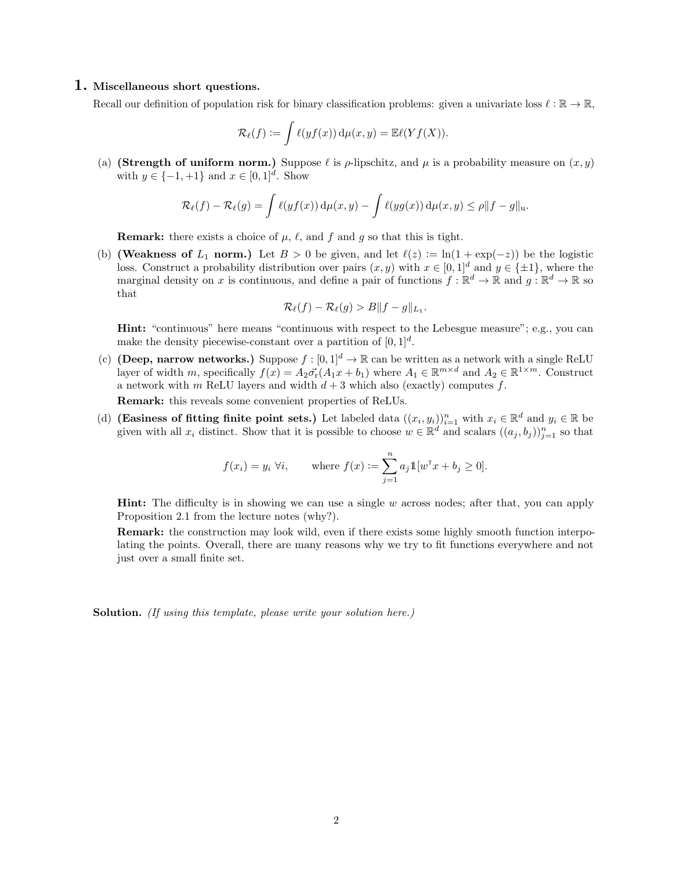#### 1. Miscellaneous short questions.

Recall our definition of population risk for binary classification problems: given a univariate loss  $\ell : \mathbb{R} \to \mathbb{R}$ ,

$$
\mathcal{R}_{\ell}(f) := \int \ell(yf(x)) d\mu(x, y) = \mathbb{E}\ell(Yf(X)).
$$

(a) (Strength of uniform norm.) Suppose  $\ell$  is  $\rho$ -lipschitz, and  $\mu$  is a probability measure on  $(x, y)$ with  $y \in \{-1, +1\}$  and  $x \in [0, 1]^d$ . Show

$$
\mathcal{R}_{\ell}(f) - \mathcal{R}_{\ell}(g) = \int \ell(yf(x)) \, \mathrm{d}\mu(x, y) - \int \ell(yg(x)) \, \mathrm{d}\mu(x, y) \leq \rho \|f - g\|_{\mathfrak{u}}.
$$

**Remark:** there exists a choice of  $\mu$ ,  $\ell$ , and f and g so that this is tight.

(b) (Weakness of  $L_1$  norm.) Let  $B > 0$  be given, and let  $\ell(z) := \ln(1 + \exp(-z))$  be the logistic loss. Construct a probability distribution over pairs  $(x, y)$  with  $x \in [0, 1]^d$  and  $y \in \{\pm 1\}$ , where the marginal density on x is continuous, and define a pair of functions  $f : \mathbb{R}^d \to \mathbb{R}$  and  $g : \mathbb{R}^d \to \mathbb{R}$  so that

$$
\mathcal{R}_{\ell}(f) - \mathcal{R}_{\ell}(g) > B||f - g||_{L_1}.
$$

Hint: "continuous" here means "continuous with respect to the Lebesgue measure"; e.g., you can make the density piecewise-constant over a partition of  $[0, 1]^d$ .

(c) (Deep, narrow networks.) Suppose  $f : [0, 1]^d \to \mathbb{R}$  can be written as a network with a single ReLU layer of width m, specifically  $f(x) = A_2 \vec{\sigma}_r(A_1 x + b_1)$  where  $A_1 \in \mathbb{R}^{m \times d}$  and  $A_2 \in \mathbb{R}^{1 \times m}$ . Construct a network with m ReLU layers and width  $d+3$  which also (exactly) computes f.

Remark: this reveals some convenient properties of ReLUs.

(d) (Easiness of fitting finite point sets.) Let labeled data  $((x_i, y_i))_{i=1}^n$  with  $x_i \in \mathbb{R}^d$  and  $y_i \in \mathbb{R}$  be given with all  $x_i$  distinct. Show that it is possible to choose  $w \in \mathbb{R}^d$  and scalars  $((a_j, b_j))_{j=1}^n$  so that

$$
f(x_i) = y_i \ \forall i
$$
, where  $f(x) := \sum_{j=1}^n a_j \mathbb{1}[w^\mathsf{T} x + b_j \ge 0].$ 

**Hint:** The difficulty is in showing we can use a single  $w$  across nodes; after that, you can apply Proposition 2.1 from the lecture notes (why?).

Remark: the construction may look wild, even if there exists some highly smooth function interpolating the points. Overall, there are many reasons why we try to fit functions everywhere and not just over a small finite set.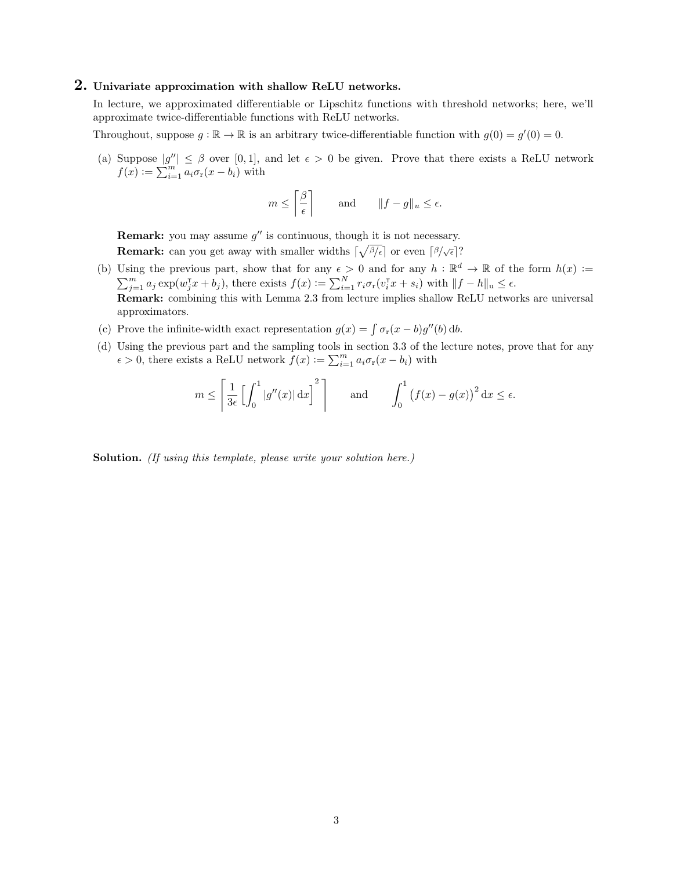# 2. Univariate approximation with shallow ReLU networks.

In lecture, we approximated differentiable or Lipschitz functions with threshold networks; here, we'll approximate twice-differentiable functions with ReLU networks.

Throughout, suppose  $g : \mathbb{R} \to \mathbb{R}$  is an arbitrary twice-differentiable function with  $g(0) = g'(0) = 0$ .

(a) Suppose  $|g''| \leq \beta$  over [0,1], and let  $\epsilon > 0$  be given. Prove that there exists a ReLU network  $f(x) := \sum_{i=1}^{m} a_i \sigma_r(x - b_i)$  with

$$
m \le \left\lceil \frac{\beta}{\epsilon} \right\rceil
$$
 and  $\|f - g\|_u \le \epsilon$ .

**Remark:** you may assume  $g''$  is continuous, though it is not necessary. **Remark:** can you get away with smaller widths  $\lceil \sqrt{\frac{\beta}{\epsilon}} \rceil$  or even  $\lceil \frac{\beta}{\sqrt{\epsilon}} \rceil$ ?

- (b) Using the previous part, show that for any  $\epsilon > 0$  and for any  $h : \mathbb{R}^d \to \mathbb{R}$  of the form  $h(x) :=$  $\sum_{j=1}^m a_j \exp(w_j^{\intercal} x + b_j)$ , there exists  $f(x) := \sum_{i=1}^N r_i \sigma_r(v_i^{\intercal} x + s_i)$  with  $||f - h||_u \le \epsilon$ . Remark: combining this with Lemma 2.3 from lecture implies shallow ReLU networks are universal approximators.
- (c) Prove the infinite-width exact representation  $g(x) = \int \sigma_r(x b)g''(b) db$ .
- (d) Using the previous part and the sampling tools in section 3.3 of the lecture notes, prove that for any  $\epsilon > 0$ , there exists a ReLU network  $f(x) := \sum_{i=1}^{m} a_i \sigma_r(x - b_i)$  with

$$
m \le \left[\frac{1}{3\epsilon} \left[ \int_0^1 |g''(x)| dx \right]^2 \right]
$$
 and  $\int_0^1 (f(x) - g(x))^2 dx \le \epsilon$ .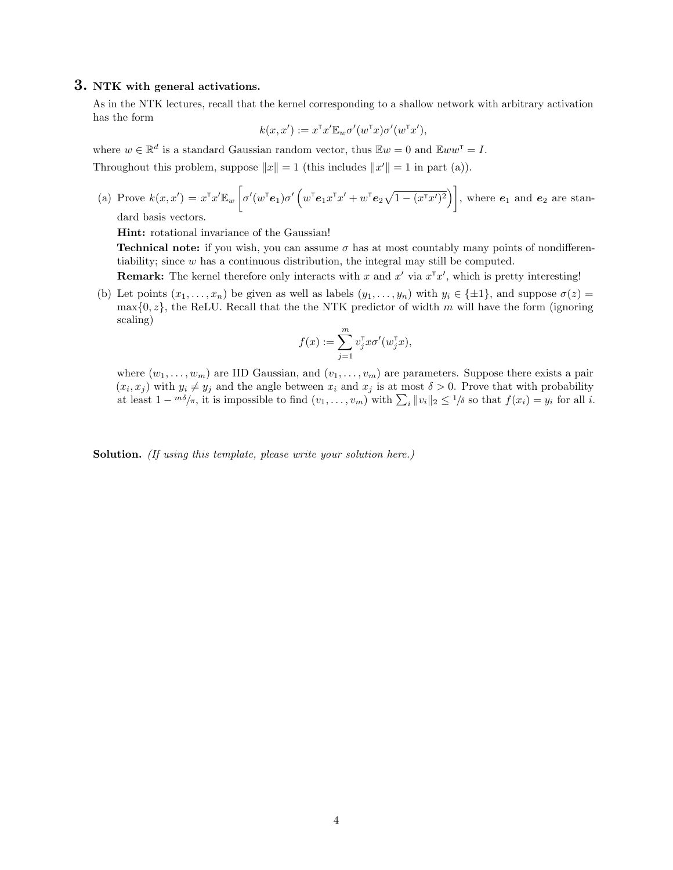## 3. NTK with general activations.

As in the NTK lectures, recall that the kernel corresponding to a shallow network with arbitrary activation has the form

$$
k(x, x') := x^{\mathsf{T}} x' \mathbb{E}_w \sigma'(w^{\mathsf{T}} x) \sigma'(w^{\mathsf{T}} x'),
$$

where  $w \in \mathbb{R}^d$  is a standard Gaussian random vector, thus  $\mathbb{E}w = 0$  and  $\mathbb{E}w w^{\mathsf{T}} = I$ .

Throughout this problem, suppose  $||x|| = 1$  (this includes  $||x'|| = 1$  in part (a)).

(a) Prove 
$$
k(x, x') = x^{\mathsf{T}} x' \mathbb{E}_w \left[ \sigma'(w^{\mathsf{T}} \mathbf{e}_1) \sigma' \left( w^{\mathsf{T}} \mathbf{e}_1 x^{\mathsf{T}} x' + w^{\mathsf{T}} \mathbf{e}_2 \sqrt{1 - (x^{\mathsf{T}} x')^2} \right) \right]
$$
, where  $\mathbf{e}_1$  and  $\mathbf{e}_2$  are standard basis vectors.

Hint: rotational invariance of the Gaussian!

**Technical note:** if you wish, you can assume  $\sigma$  has at most countably many points of nondifferentiability; since w has a continuous distribution, the integral may still be computed.

**Remark:** The kernel therefore only interacts with x and  $x'$  via  $x^T x'$ , which is pretty interesting!

(b) Let points  $(x_1, \ldots, x_n)$  be given as well as labels  $(y_1, \ldots, y_n)$  with  $y_i \in \{\pm 1\}$ , and suppose  $\sigma(z)$  $\max\{0, z\}$ , the ReLU. Recall that the the NTK predictor of width m will have the form (ignoring scaling)

$$
f(x) := \sum_{j=1}^{m} v_j^{\mathsf{T}} x \sigma'(w_j^{\mathsf{T}} x),
$$

where  $(w_1, \ldots, w_m)$  are IID Gaussian, and  $(v_1, \ldots, v_m)$  are parameters. Suppose there exists a pair  $(x_i, x_j)$  with  $y_i \neq y_j$  and the angle between  $x_i$  and  $x_j$  is at most  $\delta > 0$ . Prove that with probability at least  $1 - m\delta/\pi$ , it is impossible to find  $(v_1, \ldots, v_m)$  with  $\sum_i ||v_i||_2 \leq 1/\delta$  so that  $f(x_i) = y_i$  for all i.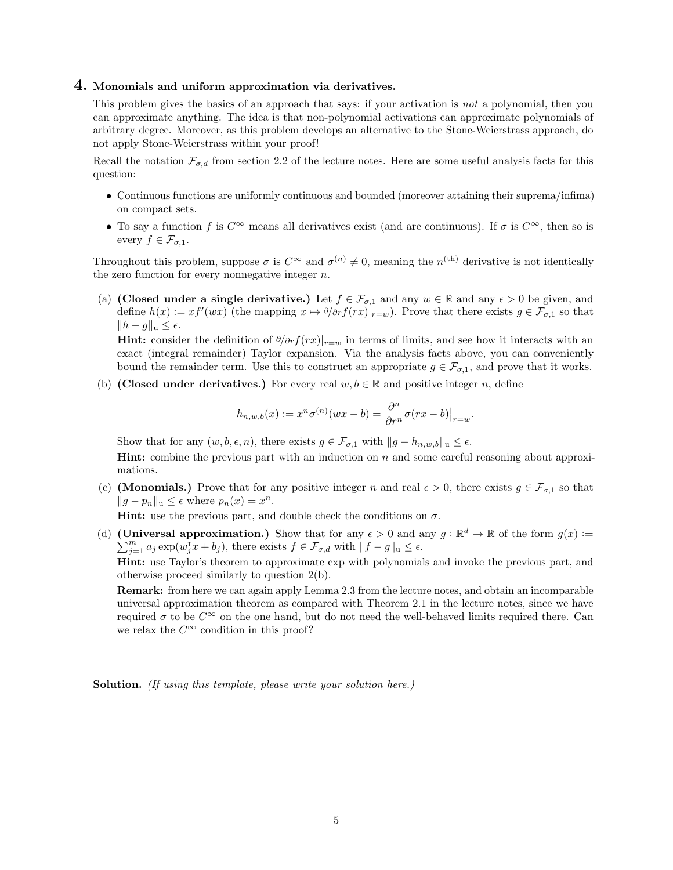#### 4. Monomials and uniform approximation via derivatives.

This problem gives the basics of an approach that says: if your activation is not a polynomial, then you can approximate anything. The idea is that non-polynomial activations can approximate polynomials of arbitrary degree. Moreover, as this problem develops an alternative to the Stone-Weierstrass approach, do not apply Stone-Weierstrass within your proof!

Recall the notation  $\mathcal{F}_{\sigma,d}$  from section 2.2 of the lecture notes. Here are some useful analysis facts for this question:

- Continuous functions are uniformly continuous and bounded (moreover attaining their suprema/infima) on compact sets.
- To say a function f is  $C^{\infty}$  means all derivatives exist (and are continuous). If  $\sigma$  is  $C^{\infty}$ , then so is every  $f \in \mathcal{F}_{\sigma,1}$ .

Throughout this problem, suppose  $\sigma$  is  $C^{\infty}$  and  $\sigma^{(n)} \neq 0$ , meaning the  $n^{(\text{th})}$  derivative is not identically the zero function for every nonnegative integer  $n$ .

(a) (Closed under a single derivative.) Let  $f \in \mathcal{F}_{\sigma,1}$  and any  $w \in \mathbb{R}$  and any  $\epsilon > 0$  be given, and define  $h(x) := xf'(wx)$  (the mapping  $x \mapsto \partial \overline{\partial} f(rx)|_{r=w}$ ). Prove that there exists  $g \in \mathcal{F}_{\sigma,1}$  so that  $||h - g||_u \leq \epsilon.$ 

**Hint:** consider the definition of  $\partial/\partial r f(rx)|_{r=w}$  in terms of limits, and see how it interacts with an exact (integral remainder) Taylor expansion. Via the analysis facts above, you can conveniently bound the remainder term. Use this to construct an appropriate  $g \in \mathcal{F}_{\sigma,1}$ , and prove that it works.

(b) (Closed under derivatives.) For every real  $w, b \in \mathbb{R}$  and positive integer n, define

$$
h_{n,w,b}(x):=x^n\sigma^{(n)}(wx-b)=\frac{\partial^n}{\partial r^n}\sigma(rx-b)\big|_{r=w}
$$

.

Show that for any  $(w, b, \epsilon, n)$ , there exists  $g \in \mathcal{F}_{\sigma,1}$  with  $||g - h_{n,w,b}||_{\mathfrak{u}} \leq \epsilon$ .

Hint: combine the previous part with an induction on n and some careful reasoning about approximations.

(c) (**Monomials.**) Prove that for any positive integer n and real  $\epsilon > 0$ , there exists  $g \in \mathcal{F}_{\sigma,1}$  so that  $||g - p_n||_u \leq \epsilon$  where  $p_n(x) = x^n$ .

**Hint:** use the previous part, and double check the conditions on  $\sigma$ .

(d) (Universal approximation.) Show that for any  $\epsilon > 0$  and any  $g : \mathbb{R}^d \to \mathbb{R}$  of the form  $g(x) :=$  $\sum_{j=1}^m a_j \exp(w_j^{\mathsf{T}} x + b_j)$ , there exists  $f \in \mathcal{F}_{\sigma,d}$  with  $||f - g||_u \leq \epsilon$ .

Hint: use Taylor's theorem to approximate exp with polynomials and invoke the previous part, and otherwise proceed similarly to question 2(b).

Remark: from here we can again apply Lemma 2.3 from the lecture notes, and obtain an incomparable universal approximation theorem as compared with Theorem 2.1 in the lecture notes, since we have required  $\sigma$  to be  $C^{\infty}$  on the one hand, but do not need the well-behaved limits required there. Can we relax the  $C^{\infty}$  condition in this proof?